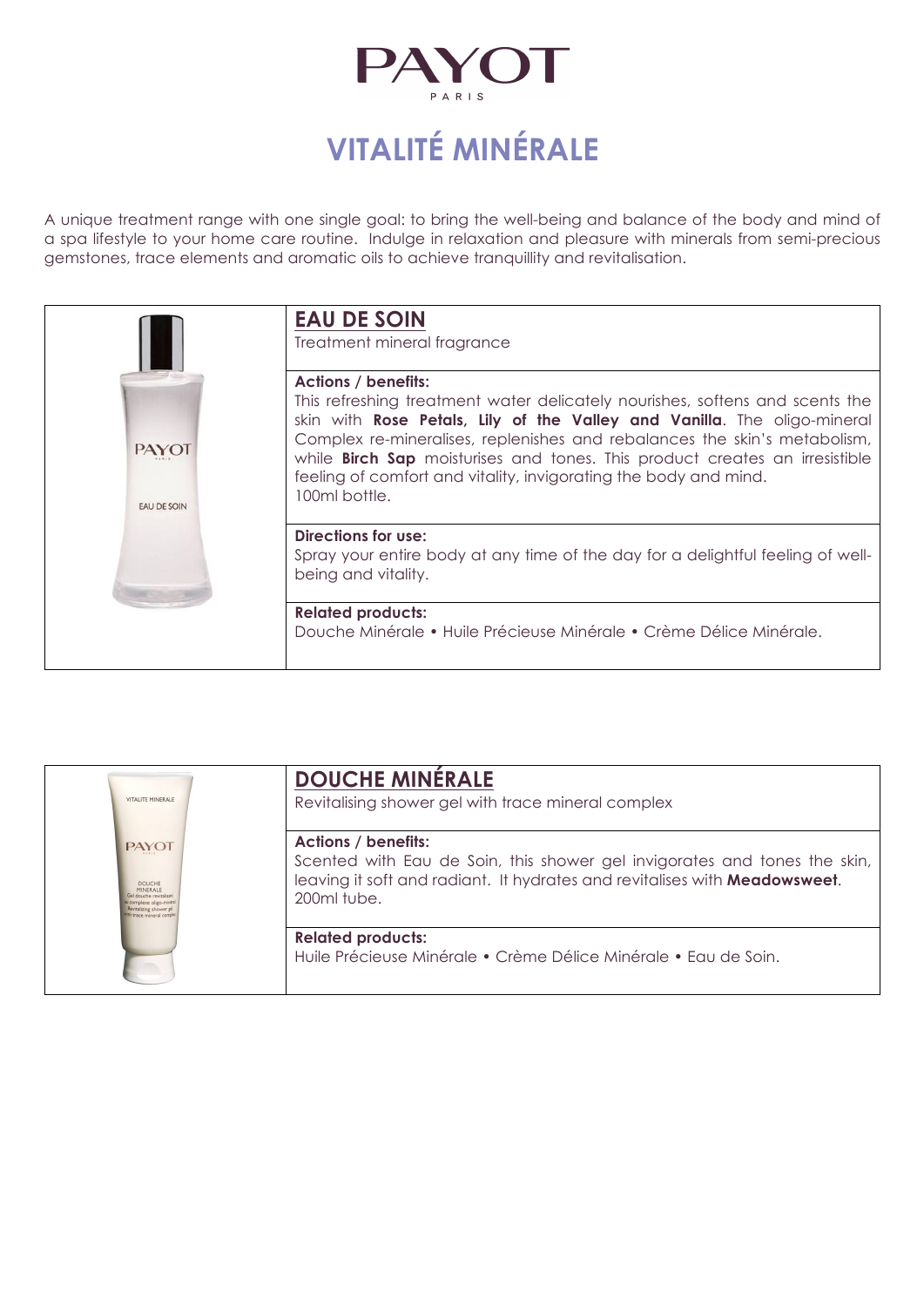

# **VITALITÉ MINÉRALE**

A unique treatment range with one single goal: to bring the well-being and balance of the body and mind of a spa lifestyle to your home care routine. Indulge in relaxation and pleasure with minerals from semi-precious gemstones, trace elements and aromatic oils to achieve tranquillity and revitalisation.

|                                    | <b>EAU DE SOIN</b><br>Treatment mineral fragrance                                                                                                                                                                                                                                                                                                                                                                                              |
|------------------------------------|------------------------------------------------------------------------------------------------------------------------------------------------------------------------------------------------------------------------------------------------------------------------------------------------------------------------------------------------------------------------------------------------------------------------------------------------|
| <b>PAYOT</b><br><b>EAU DE SOIN</b> | <b>Actions / benefits:</b><br>This refreshing treatment water delicately nourishes, softens and scents the<br>skin with Rose Petals, Lily of the Valley and Vanilla. The oligo-mineral<br>Complex re-mineralises, replenishes and rebalances the skin's metabolism,<br>while <b>Birch Sap</b> moisturises and tones. This product creates an irresistible<br>feeling of comfort and vitality, invigorating the body and mind.<br>100ml bottle. |
|                                    | Directions for use:<br>Spray your entire body at any time of the day for a delightful feeling of well-<br>being and vitality.                                                                                                                                                                                                                                                                                                                  |
|                                    | <b>Related products:</b><br>Douche Minérale • Huile Précieuse Minérale • Crème Délice Minérale.                                                                                                                                                                                                                                                                                                                                                |

| VITALITE MINERALE                                                                                                                                  | <b>DOUCHE MINÉRALE</b><br>Revitalising shower gel with trace mineral complex                                                                                                                         |
|----------------------------------------------------------------------------------------------------------------------------------------------------|------------------------------------------------------------------------------------------------------------------------------------------------------------------------------------------------------|
| <b>PAYOT</b><br><b>DOUCHE</b><br>MINERALE<br>Gel douche revitalisare<br>complexe oligo-mines<br>Revitalizing shower gel<br>th trace mineral comple | <b>Actions / benefits:</b><br>Scented with Eau de Soin, this shower gel invigorates and tones the skin,<br>leaving it soft and radiant. It hydrates and revitalises with Meadowsweet.<br>200ml tube. |
|                                                                                                                                                    | <b>Related products:</b><br>Huile Précieuse Minérale • Crème Délice Minérale • Eau de Soin.                                                                                                          |